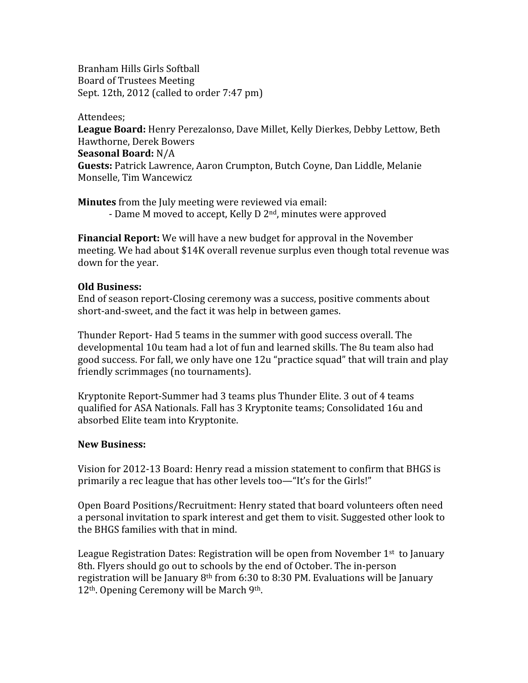Branham
Hills
Girls
Softball Board
of
Trustees
Meeting Sept. 12th, 2012 (called to order 7:47 pm)

Attendees;

League Board: Henry Perezalonso, Dave Millet, Kelly Dierkes, Debby Lettow, Beth Hawthorne,
Derek
Bowers **Seasonal
Board:** N/A Guests: Patrick Lawrence, Aaron Crumpton, Butch Coyne, Dan Liddle, Melanie Monselle,
Tim
Wancewicz

**Minutes** from the July meeting were reviewed via email: - Dame M moved to accept, Kelly D 2<sup>nd</sup>, minutes were approved

**Financial Report:** We will have a new budget for approval in the November meeting.
We
had
about
\$14K
overall
revenue
surplus
even
though
total
revenue
was down
for
the
year.

## **Old
Business:**

End
of
season
report‐Closing
ceremony
was
a
success,
positive
comments
about short-and-sweet, and the fact it was help in between games.

Thunder
Report‐
Had
5
teams
in
the
summer
with
good
success
overall.
The developmental
10u
team
had
a
lot
of
fun
and
learned
skills.
The
8u
team
also
had good success. For fall, we only have one 12u "practice squad" that will train and play friendly
scrimmages
(no
tournaments).

Kryptonite
Report‐Summer
had
3
teams
plus
Thunder
Elite.
3
out
of
4
teams qualified
for
ASA
Nationals.
Fall
has
3
Kryptonite
teams;
Consolidated
16u
and absorbed
Elite
team
into
Kryptonite.

## **New
Business:**

Vision for 2012-13 Board: Henry read a mission statement to confirm that BHGS is primarily a rec league that has other levels too—"It's for the Girls!"

Open
Board
Positions/Recruitment:
Henry
stated
that
board
volunteers
often
need a personal invitation to spark interest and get them to visit. Suggested other look to the
BHGS
families
with
that
in
mind.

League Registration Dates: Registration will be open from November 1<sup>st</sup> to January 8th.
Flyers
should
go
out
to
schools
by
the
end
of
October.
The
in‐person registration will be January  $8<sup>th</sup>$  from 6:30 to 8:30 PM. Evaluations will be January 12<sup>th</sup>. Opening Ceremony will be March 9<sup>th</sup>.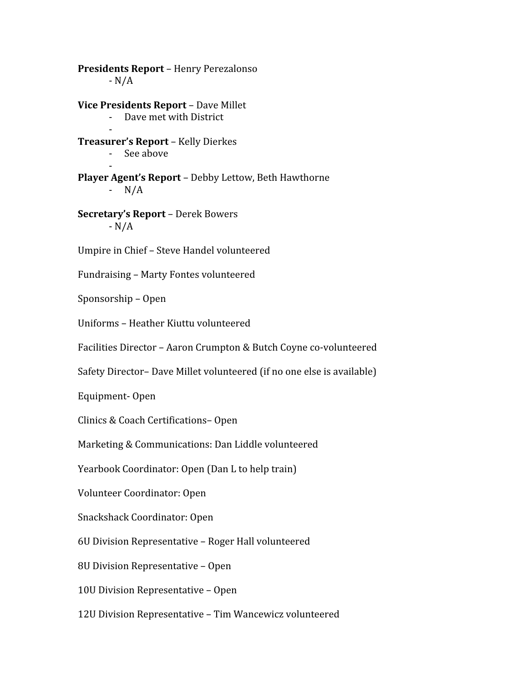**Presidents
Report** – Henry
Perezalonso  $-N/A$ **Vice
Presidents
Report** – Dave
Millet Dave met with District ‐ **Treasurer's
Report** – Kelly
Dierkes ‐ See
above ‐ **Player
Agent's
Report** – Debby
Lettow,
Beth
Hawthorne  $- N/A$ **Secretary's
Report** –
Derek
Bowers ‐
N/A Umpire
in
Chief
–
Steve
Handel
volunteered Fundraising
– Marty
Fontes
volunteered Sponsorship
– Open Uniforms
– Heather
Kiuttu
volunteered Facilities
Director
– Aaron
Crumpton
&
Butch
Coyne
co‐volunteered Safety Director- Dave Millet volunteered (if no one else is available) Equipment‐ Open Clinics
&
Coach
Certifications– Open Marketing
&
Communications:
Dan
Liddle
volunteered Yearbook Coordinator: Open (Dan L to help train) Volunteer
Coordinator:
Open Snackshack
Coordinator:
Open 6U
Division
Representative
– Roger
Hall
volunteered 8U
Division
Representative
– Open 10U
Division
Representative
– Open 12U
Division
Representative
– Tim
Wancewicz
volunteered